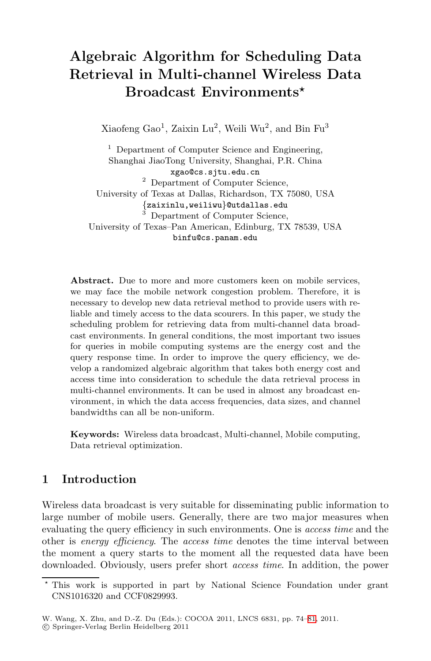# **Algebraic Algorithm for Scheduling Data Retrieval in Multi-channel Wireless Data Broadcast Environments***-*

Xiaofeng Gao<sup>1</sup>, Zaixin Lu<sup>2</sup>, Weili Wu<sup>2</sup>, and Bin Fu<sup>3</sup>

<sup>1</sup> Department of Computer Science and Engineering, Shanghai JiaoTong University, Shanghai, P.R. China xgao@cs.sjtu.edu.cn <sup>2</sup> Department of Computer Science, University of Texas at Dallas, Richardson, TX 75080, USA {zaixinlu,weiliwu}@utdallas.edu <sup>3</sup> Department of Computer Science, University of Texas–Pan American, Edinburg, TX 78539, USA binfu@cs.panam.edu

Abstract. Due to more and more customers keen on mobile services, we may face the mobile network congestion problem. Therefore, it is necessary to develop new data retrieval method to provide users with reliable and timely access to the data scourers. In this paper, we study the scheduling problem for retrieving data from multi-channel data broadcast environments. In general conditions, the most important two issues for queries in mobile computing systems are the energy cost and the query response time. In order to improve the query efficiency, we develop a randomized algebraic algorithm that takes both energy cost and access time into consideration to schedule the data retrieval process in multi-channel environments. It can be used in almost any broadcast environment, in which the data access frequencies, data sizes, and channel bandwidths can all be non-uniform.

**Keywords:** Wireless data broadcast, Multi-channel, Mobile computing, Data retrieval optimization.

## **1 Introduction**

Wireless data broadcast is very suitable for disseminating public information to large number of mobile users. Generally, there are two major measures when evaluating the query efficiency in such environments. One is *access time* and the other is *energy efficiency*. The *access time* denotes the time interval between the moment a query starts to the moment all the requested data have been downloaded. Obviously, users prefer short *access time*. In addition, the power

<sup>\*</sup> This work is supported in part by National Science Foundation under grant CNS1016320 and CCF0829993.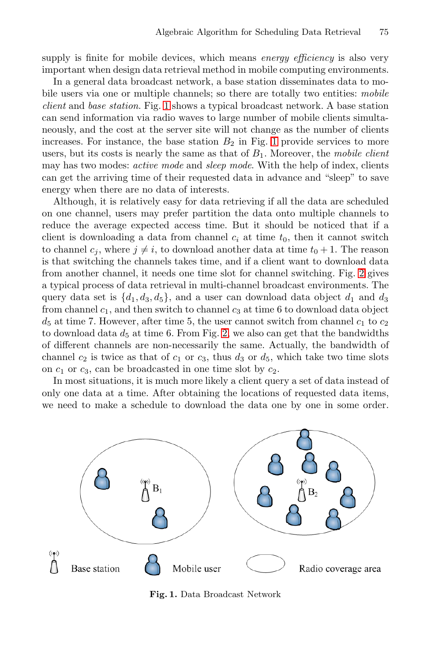supply is finite for mobile devices, which means *energy efficiency* is also very important when design data retrieval method in mobile computing environments.

In a general data broadcast network, a base station disseminates data to mobile users via one or multiple channels; so there are totally two entities: *mobile client* and *base station*. Fig. [1](#page-1-0) shows a typical broadcast network. A base station can send information via radio waves to large number of mobile clients simultaneously, and the cost at the server site will not change as the number of clients increases. For instance, the base station  $B_2$  in Fig. [1](#page-1-0) provide services to more users, but its costs is nearly the same as that of *B*1. Moreover, the *mobile client* may has two modes: *active mode* and *sleep mode*. With the help of index, clients can get the arriving time of their requested data in advance and "sleep" to save energy when there are no data of interests.

Although, it is relatively easy for data retrieving if all the data are scheduled on one channel, users may prefer partition the data onto multiple channels to reduce the average expected access time. But it should be noticed that if a client is downloading a data from channel  $c_i$  at time  $t_0$ , then it cannot switch to channel  $c_j$ , where  $j \neq i$ , to download another data at time  $t_0 + 1$ . The reason is that switching the channels takes time, and if a client want to download data from another channel, it needs one time slot for channel switching. Fig. [2](#page-2-0) gives a typical process of data retrieval in multi-channel broadcast environments. The query data set is  $\{d_1, d_3, d_5\}$ , and a user can download data object  $d_1$  and  $d_3$ from channel  $c_1$ , and then switch to channel  $c_3$  at time 6 to download data object  $d_5$  at time 7. However, after time 5, the user cannot switch from channel  $c_1$  to  $c_2$ to download data  $d_5$  at time 6. From Fig. [2,](#page-2-0) we also can get that the bandwidths of different channels are non-necessarily the same. Actually, the bandwidth of channel  $c_2$  is twice as that of  $c_1$  or  $c_3$ , thus  $d_3$  or  $d_5$ , which take two time slots on *c*<sup>1</sup> or *c*3, can be broadcasted in one time slot by *c*2.

In most situations, it is much more likely a client query a set of data instead of only one data at a time. After obtaining the locations of requested data items, we need to make a schedule to download the data one by one in some order.



<span id="page-1-0"></span>**Fig. 1.** Data Broadcast Network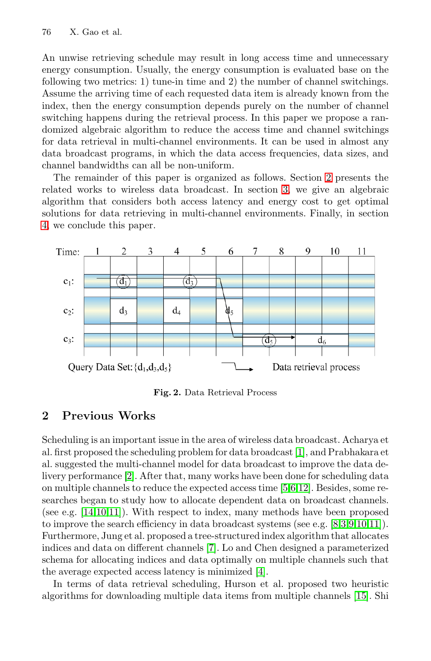An unwise retrieving schedule may result in long access time and unnecessary energy consumption. Usually, the energy consumption is evaluated base on the following two metrics: 1) tune-in time and 2) the number of channel switchings. Assume the arriving time of each requested data item is already known from the index, then the energy consumption depends purely on the number of channel switching happens during the retrieval process. In this paper we propose a randomized algebraic algorithm to reduce the access time and channel switchings for data retrieval in multi-channel environments. It can be used in almost any data broadcast programs, in which the data access frequencies, data sizes, and channel bandwidths can all be non-uniform.

The remainder of this paper is organized as follows. Section [2](#page-2-1) presents the related works to wireless data broadcast. In section [3,](#page-3-0) we give an algebraic algorithm that considers both access latency and energy cost to get optimal solutions for data retrieving in multi-channel environments. Finally, in section [4,](#page-6-0) we conclude this paper.



<span id="page-2-0"></span>**Fig. 2.** Data Retrieval Process

# <span id="page-2-1"></span>**2 Previous Works**

Scheduling is an important issue in the area of wireless data broadcast. Acharya et al. first proposed the scheduling problem for data broadcast [\[1\]](#page-6-1), and Prabhakara et al. suggested the multi-channel model for data broadcast to improve the data delivery performance [\[2\]](#page-6-2). After that, many works have been done for scheduling data on multiple channels to reduce the expected access time [\[5,](#page-6-3)[6](#page-6-4)[,12\]](#page-7-1). Besides, some researches began to study how to allocate dependent data on broadcast channels. (see e.g. [\[14](#page-7-2)[,10,](#page-7-3)[11\]](#page-7-4)). With respect to index, many methods have been proposed to improve the search efficiency in data broadcast systems (see e.g. [\[8](#page-7-5)[,3,](#page-6-5)[9,](#page-7-6)[10](#page-7-3)[,11\]](#page-7-4)). Furthermore, Jung et al. proposed a tree-structured index algorithm that allocates indices and data on different channels [\[7\]](#page-6-6). Lo and Chen designed a parameterized schema for allocating indices and data optimally on multiple channels such that the average expected access latency is minimized [\[4\]](#page-6-7).

In terms of data retrieval scheduling, Hurson et al. proposed two heuristic algorithms for downloading multiple data items from multiple channels [\[15\]](#page-7-7). Shi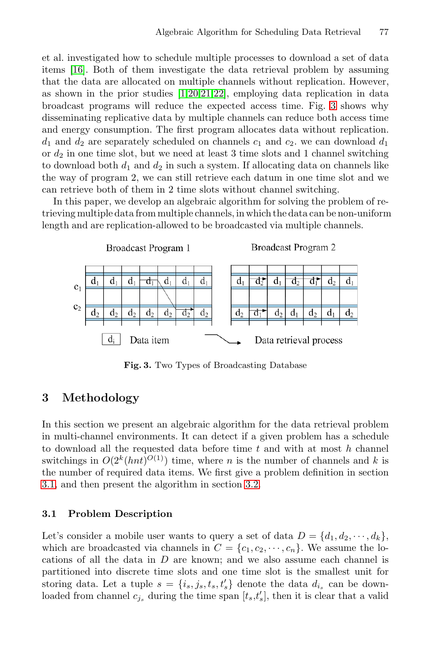et al. investigated how to schedule multiple processes to download a set of data items [\[16\]](#page-7-8). Both of them investigate the data retrieval problem by assuming that the data are allocated on multiple channels without replication. However, as shown in the prior studies [\[1,](#page-6-1)[20](#page-7-9)[,21](#page-7-10)[,22\]](#page-7-11), employing data replication in data broadcast programs will reduce the expected access time. Fig. [3](#page-3-1) shows why disseminating replicative data by multiple channels can reduce both access time and energy consumption. The first program allocates data without replication.  $d_1$  and  $d_2$  are separately scheduled on channels  $c_1$  and  $c_2$ , we can download  $d_1$ or *d*<sup>2</sup> in one time slot, but we need at least 3 time slots and 1 channel switching to download both  $d_1$  and  $d_2$  in such a system. If allocating data on channels like the way of program 2, we can still retrieve each datum in one time slot and we can retrieve both of them in 2 time slots without channel switching.

In this paper, we develop an algebraic algorithm for solving the problem of retrieving multiple data from multiple channels, in which the data can be non-uniform length and are replication-allowed to be broadcasted via multiple channels.



<span id="page-3-1"></span>**Fig. 3.** Two Types of Broadcasting Database

# <span id="page-3-0"></span>**3 Methodology**

In this section we present an algebraic algorithm for the data retrieval problem in multi-channel environments. It can detect if a given problem has a schedule to download all the requested data before time *t* and with at most *h* channel switchings in  $O(2^k(hnt)^{O(1)})$  time, where *n* is the number of channels and *k* is the number of required data items. We first give a problem definition in section [3.1,](#page-3-2) and then present the algorithm in section [3.2.](#page-4-0)

#### <span id="page-3-2"></span> $3.1$ **3.1 Problem Description**

Let's consider a mobile user wants to query a set of data  $D = \{d_1, d_2, \dots, d_k\}$ , which are broadcasted via channels in  $C = \{c_1, c_2, \dots, c_n\}$ . We assume the locations of all the data in *D* are known; and we also assume each channel is partitioned into discrete time slots and one time slot is the smallest unit for storing data. Let a tuple  $s = \{i_s, j_s, t_s, t'_s\}$  denote the data  $d_{i_s}$  can be downloaded from channel  $c_{j_s}$  during the time span  $[t_s, t'_s]$ , then it is clear that a valid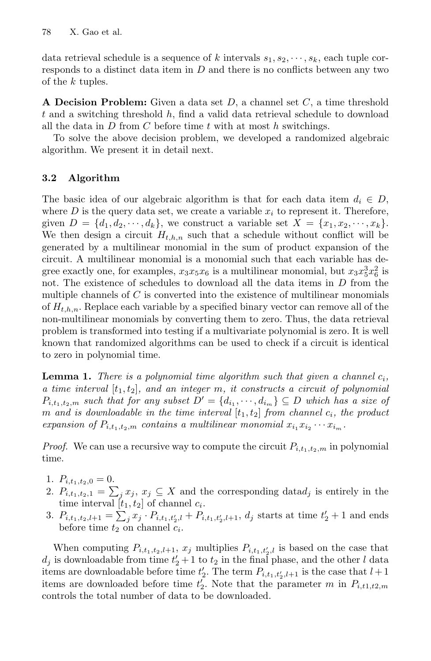data retrieval schedule is a sequence of *k* intervals  $s_1, s_2, \dots, s_k$ , each tuple corresponds to a distinct data item in *D* and there is no conflicts between any two of the *k* tuples.

**A Decision Problem:** Given a data set *<sup>D</sup>*, a channel set *<sup>C</sup>*, a time threshold *t* and a switching threshold *h*, find a valid data retrieval schedule to download all the data in *D* from *C* before time *t* with at most *h* switchings.

To solve the above decision problem, we developed a randomized algebraic algorithm. We present it in detail next.

### <span id="page-4-0"></span>**3.2 Algorithm**

The basic idea of our algebraic algorithm is that for each data item  $d_i \in D$ , where  $D$  is the query data set, we create a variable  $x_i$  to represent it. Therefore, given  $D = \{d_1, d_2, \dots, d_k\}$ , we construct a variable set  $X = \{x_1, x_2, \dots, x_k\}$ . We then design a circuit  $H_{t,h,n}$  such that a schedule without conflict will be generated by a multilinear monomial in the sum of product expansion of the circuit. A multilinear monomial is a monomial such that each variable has degree exactly one, for examples,  $x_3x_5x_6$  is a multilinear monomial, but  $x_3x_5^3x_6^2$  is not. The existence of schedules to download all the data items in *D* from the multiple channels of *C* is converted into the existence of multilinear monomials of *Ht,h,n*. Replace each variable by a specified binary vector can remove all of the non-multilinear monomials by converting them to zero. Thus, the data retrieval problem is transformed into testing if a multivariate polynomial is zero. It is well known that randomized algorithms can be used to check if a circuit is identical to zero in polynomial time.

**Lemma 1.** *There is a polynomial time algorithm such that given a channel*  $c_i$ *, a time interval* [*t*1*, t*2]*, and an integer m, it constructs a circuit of polynomial*  $P_{i,t_1,t_2,m}$  *such that for any subset*  $D' = \{d_{i_1}, \dots, d_{i_m}\} \subseteq D$  *which has a size of m* and is downloadable in the time interval  $[t_1, t_2]$  from channel  $c_i$ , the product *expansion of*  $P_{i,t_1,t_2,m}$  *contains a multilinear monomial*  $x_i, x_i, \cdots, x_i,$ 

*Proof.* We can use a recursive way to compute the circuit  $P_{i,t_1,t_2,m}$  in polynomial time.

- 1.  $P_{i,t_1,t_2,0} = 0.$
- 2.  $P_{i,t_1,t_2,1} = \sum_j x_j, x_j \subseteq X$  and the corresponding data $d_j$  is entirely in the time interval  $[t_1, t_2]$  of channel  $c_i$ .
- 3.  $P_{i,t_1,t_2,l+1} = \sum_j x_j \cdot P_{i,t_1,t_2',l} + P_{i,t_1,t_2',l+1}, d_j \text{ starts at time } t_2' + 1 \text{ and ends}$ before time  $t_2$  on channel  $c_i$ .

When computing  $P_{i,t_1,t_2,l+1}$ ,  $x_j$  multiplies  $P_{i,t_1,t_2',l}$  is based on the case that  $d_j$  is downloadable from time  $t'_2 + 1$  to  $t_2$  in the final phase, and the other *l* data items are downloadable before time  $t'_{2}$ . The term  $P_{i,t_1,t'_{2},l+1}$  is the case that  $l+1$ items are downloaded before time  $t_2^r$ . Note that the parameter *m* in  $P_{i,t1,t2,m}$ controls the total number of data to be downloaded.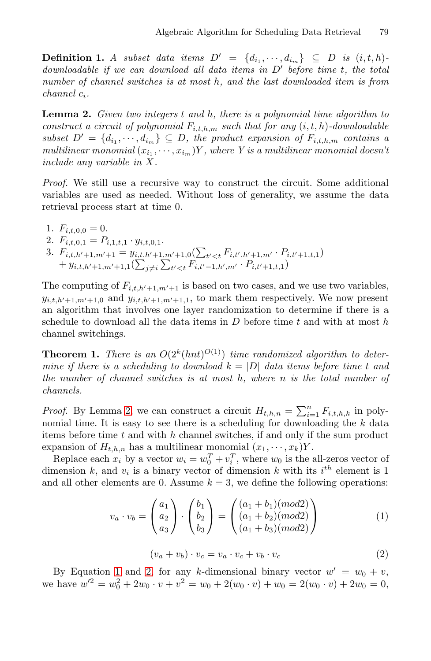**Definition 1.** *A subset data items*  $D' = \{d_{i_1}, \dots, d_{i_m}\} \subseteq D$  *is*  $(i, t, h)$ *downloadable if we can download all data items in D before time t, the total number of channel switches is at most h, and the last downloaded item is from channel ci.*

<span id="page-5-0"></span>**Lemma 2.** *Given two integers <sup>t</sup> and <sup>h</sup>, there is a polynomial time algorithm to construct a circuit of polynomial*  $F_{i,t,h,m}$  *such that for any*  $(i, t, h)$ *-downloadable subset*  $D' = \{d_{i_1}, \dots, d_{i_m}\} \subseteq D$ , the product expansion of  $F_{i,t,h,m}$  contains a *multilinear monomial*  $(x_i, \dots, x_{i_m})Y$ , where Y is a multilinear monomial doesn't *include any variable in X.*

*Proof.* We still use a recursive way to construct the circuit. Some additional variables are used as needed. Without loss of generality, we assume the data retrieval process start at time 0.

- 1.  $F_{i,t,0,0} = 0$ .
- 2.  $F_{i,t,0,1} = P_{i,1,t,1} \cdot y_{i,t,0,1}.$
- 3.  $F_{i,t,h'+1,m'+1} = y_{i,t,h'+1,m'+1,0}(\sum_{t'$  $+ y_{i,t,h'+1,m'+1,1}(\sum_{j\neq i}\sum_{t'$

The computing of  $F_{i,t,h'+1,m'+1}$  is based on two cases, and we use two variables,  $y_{i,t,h'+1,m'+1,0}$  and  $y_{i,t,h'+1,m'+1,1}$ , to mark them respectively. We now present an algorithm that involves one layer randomization to determine if there is a schedule to download all the data items in *D* before time *t* and with at most *h* channel switchings.

**Theorem 1.** *There is an*  $O(2^k(hnt)^{O(1)})$  *time randomized algorithm to determine if there is a scheduling to download*  $k = |D|$  *data items before time t and the number of channel switches is at most h, where n is the total number of channels.*

*Proof.* By Lemma [2,](#page-5-0) we can construct a circuit  $H_{t,h,n} = \sum_{i=1}^{n} F_{i,t,h,k}$  in polynomial time. It is easy to see there is a scheduling for downloading the *k* data items before time *t* and with *h* channel switches, if and only if the sum product expansion of  $H_{t,h,n}$  has a multilinear monomial  $(x_1, \dots, x_k)Y$ .

Replace each  $x_i$  by a vector  $w_i = w_0^T + v_i^T$ , where  $w_0$  is the all-zeros vector of dimension  $k$ , and  $v_i$  is a binary vector of dimension  $k$  with its  $i^{th}$  element is 1 and all other elements are 0. Assume  $k = 3$ , we define the following operations:

<span id="page-5-1"></span>
$$
v_a \cdot v_b = \begin{pmatrix} a_1 \\ a_2 \\ a_3 \end{pmatrix} \cdot \begin{pmatrix} b_1 \\ b_2 \\ b_3 \end{pmatrix} = \begin{pmatrix} (a_1 + b_1)(mod2) \\ (a_1 + b_2)(mod2) \\ (a_1 + b_3)(mod2) \end{pmatrix}
$$
 (1)

<span id="page-5-2"></span>
$$
(v_a + v_b) \cdot v_c = v_a \cdot v_c + v_b \cdot v_c \tag{2}
$$

By Equation [1](#page-5-1) and [2,](#page-5-2) for any *k*-dimensional binary vector  $w' = w_0 + v$ , we have  $w'^2 = w_0^2 + 2w_0 \cdot v + v^2 = w_0 + 2(w_0 \cdot v) + w_0 = 2(w_0 \cdot v) + 2w_0 = 0$ ,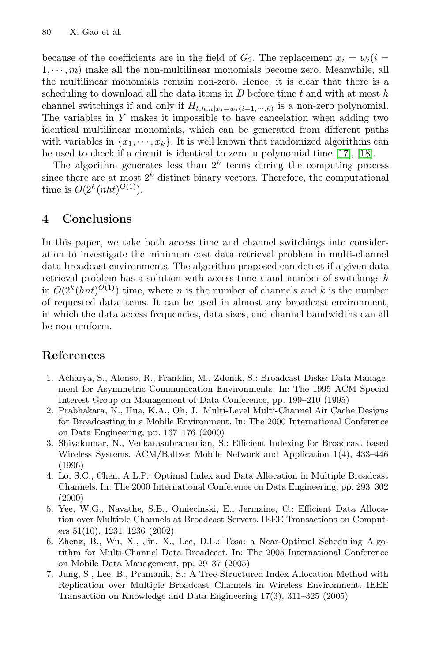because of the coefficients are in the field of  $G_2$ . The replacement  $x_i = w_i(i =$  $1, \dots, m$  make all the non-multilinear monomials become zero. Meanwhile, all the multilinear monomials remain non-zero. Hence, it is clear that there is a scheduling to download all the data items in *D* before time *t* and with at most *h* channel switchings if and only if  $H_{t,h,n}|_{x_i=w_i(i=1,\dots,k)}$  is a non-zero polynomial. The variables in *Y* makes it impossible to have cancelation when adding two identical multilinear monomials, which can be generated from different paths with variables in  $\{x_1, \dots, x_k\}$ . It is well known that randomized algorithms can be used to check if a circuit is identical to zero in polynomial time [\[17\]](#page-7-12), [\[18\]](#page-7-13).

The algorithm generates less than  $2^k$  terms during the computing process since there are at most  $2^k$  distinct binary vectors. Therefore, the computational time is  $O(2^{k}(nht)^{O(1)})$ .

# <span id="page-6-0"></span>**4 Conclusions**

In this paper, we take both access time and channel switchings into consideration to investigate the minimum cost data retrieval problem in multi-channel data broadcast environments. The algorithm proposed can detect if a given data retrieval problem has a solution with access time *t* and number of switchings *h* in  $O(2^k(hnt)^{O(1)})$  time, where *n* is the number of channels and *k* is the number of requested data items. It can be used in almost any broadcast environment, in which the data access frequencies, data sizes, and channel bandwidths can all be non-uniform.

# **References**

- <span id="page-6-1"></span>1. Acharya, S., Alonso, R., Franklin, M., Zdonik, S.: Broadcast Disks: Data Management for Asymmetric Communication Environments. In: The 1995 ACM Special Interest Group on Management of Data Conference, pp. 199–210 (1995)
- <span id="page-6-2"></span>2. Prabhakara, K., Hua, K.A., Oh, J.: Multi-Level Multi-Channel Air Cache Designs for Broadcasting in a Mobile Environment. In: The 2000 International Conference on Data Engineering, pp. 167–176 (2000)
- <span id="page-6-5"></span>3. Shivakumar, N., Venkatasubramanian, S.: Efficient Indexing for Broadcast based Wireless Systems. ACM/Baltzer Mobile Network and Application 1(4), 433–446 (1996)
- <span id="page-6-7"></span>4. Lo, S.C., Chen, A.L.P.: Optimal Index and Data Allocation in Multiple Broadcast Channels. In: The 2000 International Conference on Data Engineering, pp. 293–302 (2000)
- <span id="page-6-3"></span>5. Yee, W.G., Navathe, S.B., Omiecinski, E., Jermaine, C.: Efficient Data Allocation over Multiple Channels at Broadcast Servers. IEEE Transactions on Computers 51(10), 1231–1236 (2002)
- <span id="page-6-4"></span>6. Zheng, B., Wu, X., Jin, X., Lee, D.L.: Tosa: a Near-Optimal Scheduling Algorithm for Multi-Channel Data Broadcast. In: The 2005 International Conference on Mobile Data Management, pp. 29–37 (2005)
- <span id="page-6-6"></span>7. Jung, S., Lee, B., Pramanik, S.: A Tree-Structured Index Allocation Method with Replication over Multiple Broadcast Channels in Wireless Environment. IEEE Transaction on Knowledge and Data Engineering 17(3), 311–325 (2005)